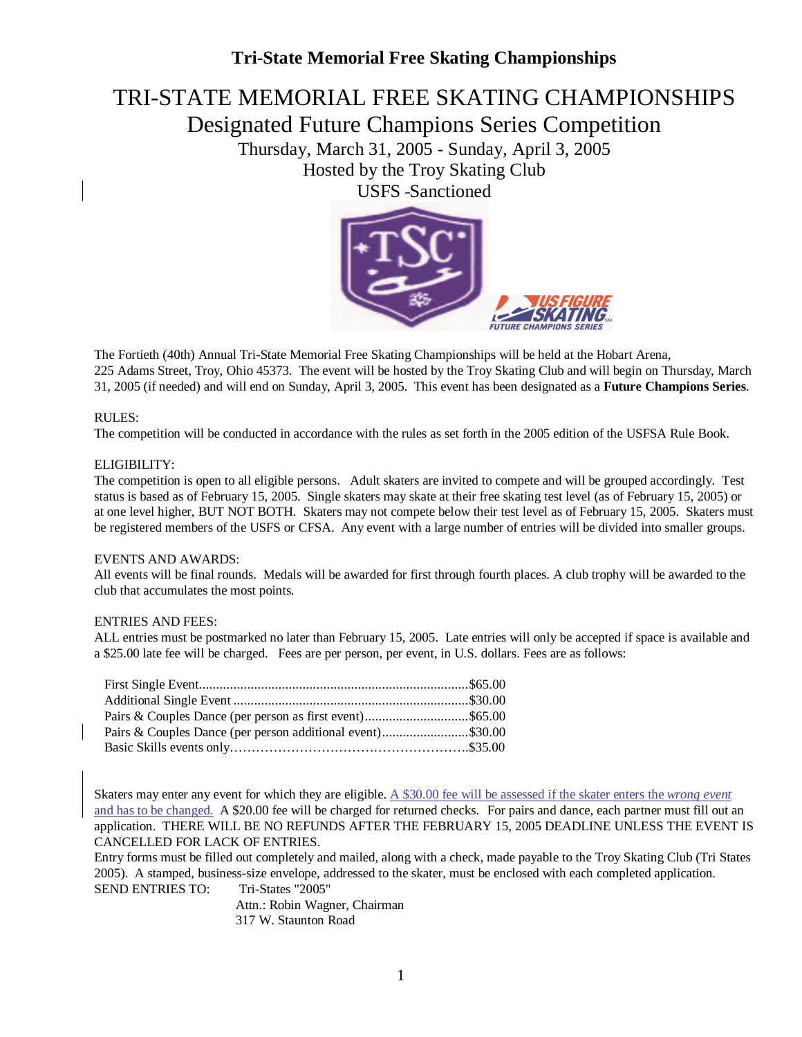# TRI-STATE MEMORIAL FREE SKATING CHAMPIONSHIPS

Designated Future Champions Series Competition

Thursday, March 31, 2005 - Sunday, April 3, 2005 Hosted by the Troy Skating Club

USFS-Sanctioned



The Fortieth (40th) Annual Tri-State Memorial Free Skating Championships will be held at the Hobart Arena, 225 Adams Street, Troy, Ohio 45373. The event will be hosted by the Troy Skating Club and will begin on Thursday, March 31, 2005 (if needed) and will end on Sunday, April 3, 2005. This event has been designated as a **Future Champions Series**.

#### RULES:

The competition will be conducted in accordance with the rules as set forth in the 2005 edition of the USFSA Rule Book.

#### ELIGIBILITY:

The competition is open to all eligible persons. Adult skaters are invited to compete and will be grouped accordingly. Test status is based as of February 15, 2005. Single skaters may skate at their free skating test level (as of February 15, 2005) or at one level higher, BUT NOT BOTH. Skaters may not compete below their test level as of February 15, 2005. Skaters must be registered members of the USFS or CFSA. Any event with a large number of entries will be divided into smaller groups.

#### EVENTS AND AWARDS:

All events will be final rounds. Medals will be awarded for first through fourth places. A club trophy will be awarded to the club that accumulates the most points.

#### ENTRIES AND FEES:

ALL entries must be postmarked no later than February 15, 2005. Late entries will only be accepted if space is available and a \$25.00 late fee will be charged. Fees are per person, per event, in U.S. dollars. Fees are as follows:

| Pairs & Couples Dance (per person additional event)\$30.00 |  |
|------------------------------------------------------------|--|
|                                                            |  |

Skaters may enter any event for which they are eligible. A \$30.00 fee will be assessed if the skater enters the *wrong event* and has to be changed. A \$20.00 fee will be charged for returned checks. For pairs and dance, each partner must fill out an application. THERE WILL BE NO REFUNDS AFTER THE FEBRUARY 15, 2005 DEADLINE UNLESS THE EVENT IS CANCELLED FOR LACK OF ENTRIES.

Entry forms must be filled out completely and mailed, along with a check, made payable to the Troy Skating Club (Tri States 2005). A stamped, business-size envelope, addressed to the skater, must be enclosed with each completed application. SEND ENTRIES TO: Tri-States "2005"

> Attn.: Robin Wagner, Chairman 317 W. Staunton Road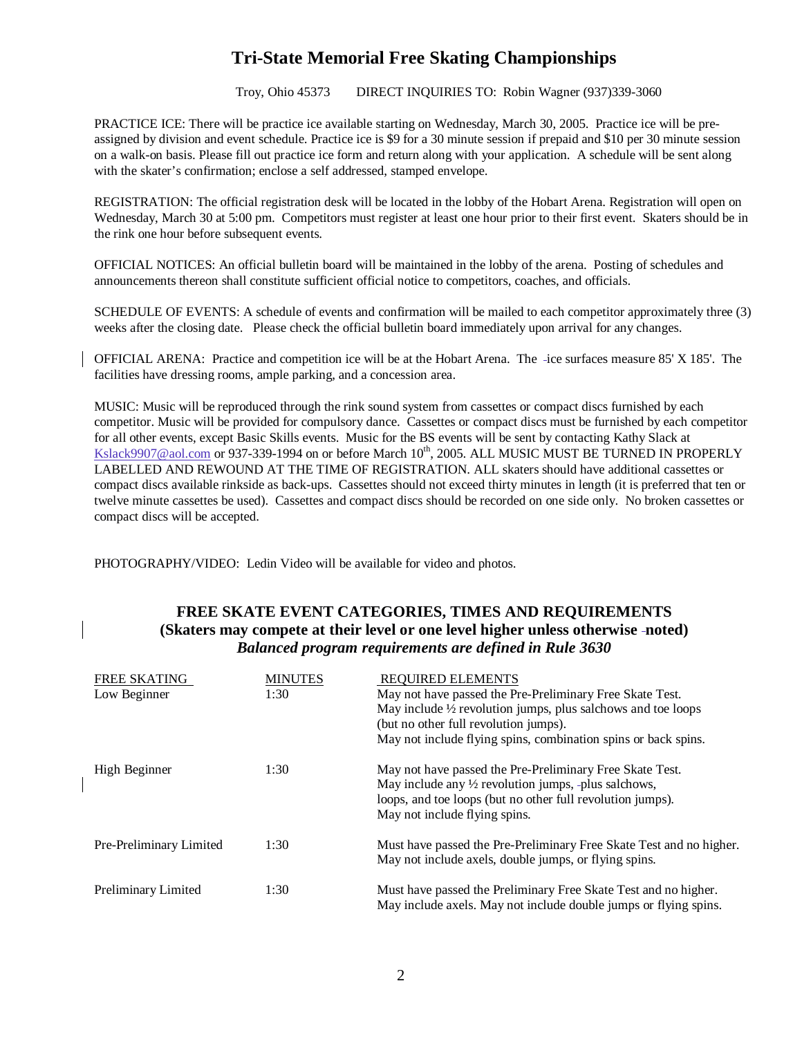Troy, Ohio 45373 DIRECT INQUIRIES TO: Robin Wagner (937)339-3060

PRACTICE ICE: There will be practice ice available starting on Wednesday, March 30, 2005. Practice ice will be preassigned by division and event schedule. Practice ice is \$9 for a 30 minute session if prepaid and \$10 per 30 minute session on a walk-on basis. Please fill out practice ice form and return along with your application. A schedule will be sent along with the skater's confirmation; enclose a self addressed, stamped envelope.

REGISTRATION: The official registration desk will be located in the lobby of the Hobart Arena. Registration will open on Wednesday, March 30 at 5:00 pm. Competitors must register at least one hour prior to their first event. Skaters should be in the rink one hour before subsequent events.

OFFICIAL NOTICES: An official bulletin board will be maintained in the lobby of the arena. Posting of schedules and announcements thereon shall constitute sufficient official notice to competitors, coaches, and officials.

SCHEDULE OF EVENTS: A schedule of events and confirmation will be mailed to each competitor approximately three (3) weeks after the closing date. Please check the official bulletin board immediately upon arrival for any changes.

OFFICIAL ARENA: Practice and competition ice will be at the Hobart Arena. The ice surfaces measure 85' X 185'. The facilities have dressing rooms, ample parking, and a concession area.

MUSIC: Music will be reproduced through the rink sound system from cassettes or compact discs furnished by each competitor. Music will be provided for compulsory dance. Cassettes or compact discs must be furnished by each competitor for all other events, except Basic Skills events. Music for the BS events will be sent by contacting Kathy Slack at Kslack9907@aol.com or 937-339-1994 on or before March 10<sup>th</sup>, 2005. ALL MUSIC MUST BE TURNED IN PROPERLY LABELLED AND REWOUND AT THE TIME OF REGISTRATION. ALL skaters should have additional cassettes or compact discs available rinkside as back-ups. Cassettes should not exceed thirty minutes in length (it is preferred that ten or twelve minute cassettes be used). Cassettes and compact discs should be recorded on one side only. No broken cassettes or compact discs will be accepted.

PHOTOGRAPHY/VIDEO: Ledin Video will be available for video and photos.

#### **FREE SKATE EVENT CATEGORIES, TIMES AND REQUIREMENTS (Skaters may compete at their level or one level higher unless otherwise noted)** *Balanced program requirements are defined in Rule 3630*

| FREE SKATING               | <b>MINUTES</b> | REQUIRED ELEMENTS                                                       |
|----------------------------|----------------|-------------------------------------------------------------------------|
| Low Beginner               | 1:30           | May not have passed the Pre-Preliminary Free Skate Test.                |
|                            |                | May include $\frac{1}{2}$ revolution jumps, plus salchows and toe loops |
|                            |                | (but no other full revolution jumps).                                   |
|                            |                | May not include flying spins, combination spins or back spins.          |
| High Beginner              | 1:30           | May not have passed the Pre-Preliminary Free Skate Test.                |
|                            |                | May include any $\frac{1}{2}$ revolution jumps, -plus salchows,         |
|                            |                | loops, and toe loops (but no other full revolution jumps).              |
|                            |                | May not include flying spins.                                           |
| Pre-Preliminary Limited    | 1:30           | Must have passed the Pre-Preliminary Free Skate Test and no higher.     |
|                            |                | May not include axels, double jumps, or flying spins.                   |
| <b>Preliminary Limited</b> | 1:30           | Must have passed the Preliminary Free Skate Test and no higher.         |
|                            |                | May include axels. May not include double jumps or flying spins.        |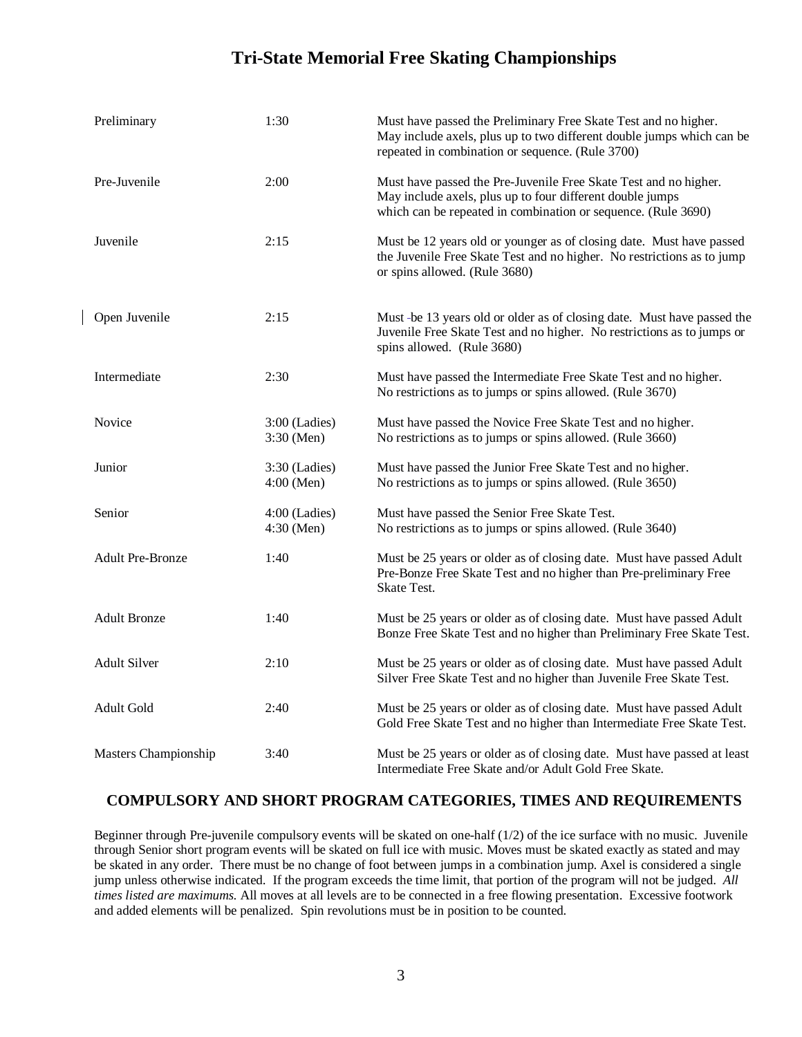| Preliminary             | 1:30                            | Must have passed the Preliminary Free Skate Test and no higher.<br>May include axels, plus up to two different double jumps which can be<br>repeated in combination or sequence. (Rule 3700)   |
|-------------------------|---------------------------------|------------------------------------------------------------------------------------------------------------------------------------------------------------------------------------------------|
| Pre-Juvenile            | 2:00                            | Must have passed the Pre-Juvenile Free Skate Test and no higher.<br>May include axels, plus up to four different double jumps<br>which can be repeated in combination or sequence. (Rule 3690) |
| Juvenile                | 2:15                            | Must be 12 years old or younger as of closing date. Must have passed<br>the Juvenile Free Skate Test and no higher. No restrictions as to jump<br>or spins allowed. (Rule 3680)                |
| Open Juvenile           | 2:15                            | Must -be 13 years old or older as of closing date. Must have passed the<br>Juvenile Free Skate Test and no higher. No restrictions as to jumps or<br>spins allowed. (Rule 3680)                |
| Intermediate            | 2:30                            | Must have passed the Intermediate Free Skate Test and no higher.<br>No restrictions as to jumps or spins allowed. (Rule 3670)                                                                  |
| Novice                  | $3:00$ (Ladies)<br>3:30 (Men)   | Must have passed the Novice Free Skate Test and no higher.<br>No restrictions as to jumps or spins allowed. (Rule 3660)                                                                        |
| Junior                  | $3:30$ (Ladies)<br>$4:00$ (Men) | Must have passed the Junior Free Skate Test and no higher.<br>No restrictions as to jumps or spins allowed. (Rule 3650)                                                                        |
| Senior                  | $4:00$ (Ladies)<br>4:30 (Men)   | Must have passed the Senior Free Skate Test.<br>No restrictions as to jumps or spins allowed. (Rule 3640)                                                                                      |
| <b>Adult Pre-Bronze</b> | 1:40                            | Must be 25 years or older as of closing date. Must have passed Adult<br>Pre-Bonze Free Skate Test and no higher than Pre-preliminary Free<br><b>Skate Test.</b>                                |
| <b>Adult Bronze</b>     | 1:40                            | Must be 25 years or older as of closing date. Must have passed Adult<br>Bonze Free Skate Test and no higher than Preliminary Free Skate Test.                                                  |
| <b>Adult Silver</b>     | 2:10                            | Must be 25 years or older as of closing date. Must have passed Adult<br>Silver Free Skate Test and no higher than Juvenile Free Skate Test.                                                    |
| Adult Gold              | 2:40                            | Must be 25 years or older as of closing date. Must have passed Adult<br>Gold Free Skate Test and no higher than Intermediate Free Skate Test.                                                  |
| Masters Championship    | 3:40                            | Must be 25 years or older as of closing date. Must have passed at least<br>Intermediate Free Skate and/or Adult Gold Free Skate.                                                               |

 $\overline{\phantom{a}}$ 

#### **COMPULSORY AND SHORT PROGRAM CATEGORIES, TIMES AND REQUIREMENTS**

Beginner through Pre-juvenile compulsory events will be skated on one-half (1/2) of the ice surface with no music. Juvenile through Senior short program events will be skated on full ice with music. Moves must be skated exactly as stated and may be skated in any order. There must be no change of foot between jumps in a combination jump. Axel is considered a single jump unless otherwise indicated. If the program exceeds the time limit, that portion of the program will not be judged. *All times listed are maximums.* All moves at all levels are to be connected in a free flowing presentation. Excessive footwork and added elements will be penalized. Spin revolutions must be in position to be counted.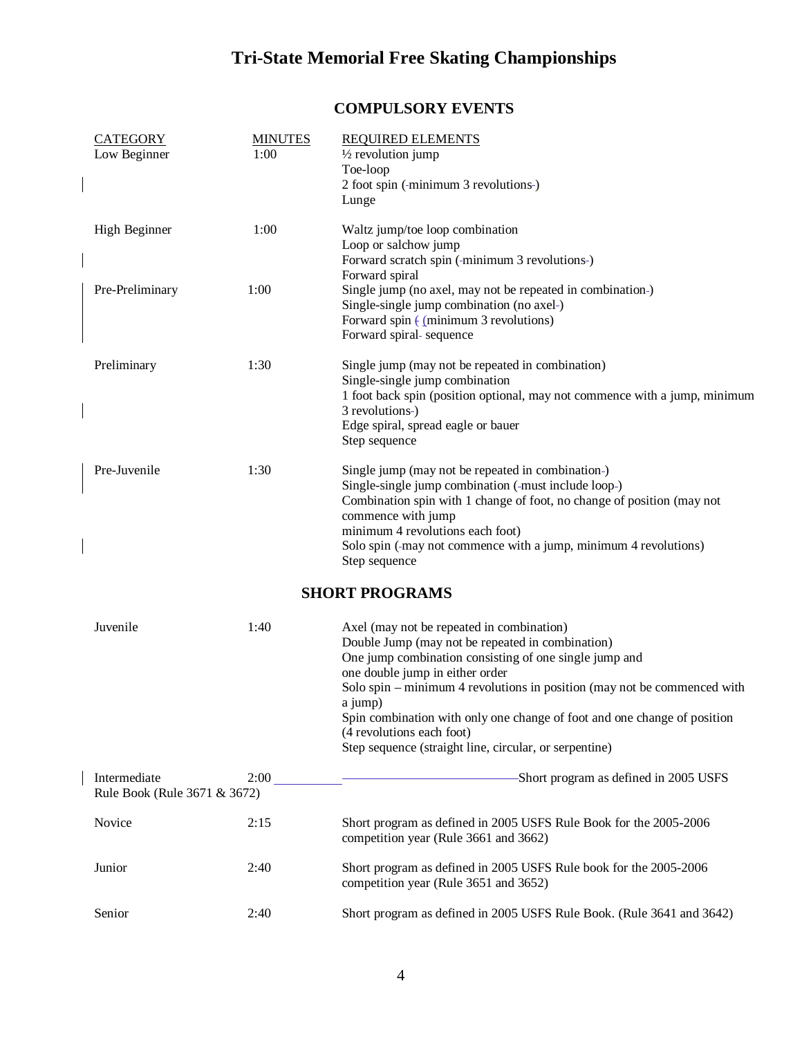## **COMPULSORY EVENTS**

| <b>CATEGORY</b><br>Low Beginner              | <b>MINUTES</b><br>1:00 | <b>REQUIRED ELEMENTS</b><br>$\frac{1}{2}$ revolution jump<br>Toe-loop<br>2 foot spin (-minimum 3 revolutions-)<br>Lunge                                                                                                                                                                                                                                                                                                                              |
|----------------------------------------------|------------------------|------------------------------------------------------------------------------------------------------------------------------------------------------------------------------------------------------------------------------------------------------------------------------------------------------------------------------------------------------------------------------------------------------------------------------------------------------|
| <b>High Beginner</b>                         | 1:00                   | Waltz jump/toe loop combination<br>Loop or salchow jump<br>Forward scratch spin (-minimum 3 revolutions-)                                                                                                                                                                                                                                                                                                                                            |
| Pre-Preliminary                              | 1:00                   | Forward spiral<br>Single jump (no axel, may not be repeated in combination-)<br>Single-single jump combination (no axel-)<br>Forward spin $\frac{1}{2}$ (minimum 3 revolutions)<br>Forward spiral-sequence                                                                                                                                                                                                                                           |
| Preliminary                                  | 1:30                   | Single jump (may not be repeated in combination)<br>Single-single jump combination<br>1 foot back spin (position optional, may not commence with a jump, minimum<br>3 revolutions-)<br>Edge spiral, spread eagle or bauer<br>Step sequence                                                                                                                                                                                                           |
| Pre-Juvenile                                 | 1:30                   | Single jump (may not be repeated in combination-)<br>Single-single jump combination (-must include loop-)<br>Combination spin with 1 change of foot, no change of position (may not<br>commence with jump<br>minimum 4 revolutions each foot)<br>Solo spin (-may not commence with a jump, minimum 4 revolutions)<br>Step sequence                                                                                                                   |
|                                              |                        | <b>SHORT PROGRAMS</b>                                                                                                                                                                                                                                                                                                                                                                                                                                |
| Juvenile                                     | 1:40                   | Axel (may not be repeated in combination)<br>Double Jump (may not be repeated in combination)<br>One jump combination consisting of one single jump and<br>one double jump in either order<br>Solo spin – minimum 4 revolutions in position (may not be commenced with<br>a jump)<br>Spin combination with only one change of foot and one change of position<br>(4 revolutions each foot)<br>Step sequence (straight line, circular, or serpentine) |
| Intermediate<br>Rule Book (Rule 3671 & 3672) | 2:00                   | -Short program as defined in 2005 USFS                                                                                                                                                                                                                                                                                                                                                                                                               |
| Novice                                       | 2:15                   | Short program as defined in 2005 USFS Rule Book for the 2005-2006<br>competition year (Rule 3661 and 3662)                                                                                                                                                                                                                                                                                                                                           |
| Junior                                       | 2:40                   | Short program as defined in 2005 USFS Rule book for the 2005-2006<br>competition year (Rule 3651 and 3652)                                                                                                                                                                                                                                                                                                                                           |
| Senior                                       | 2:40                   | Short program as defined in 2005 USFS Rule Book. (Rule 3641 and 3642)                                                                                                                                                                                                                                                                                                                                                                                |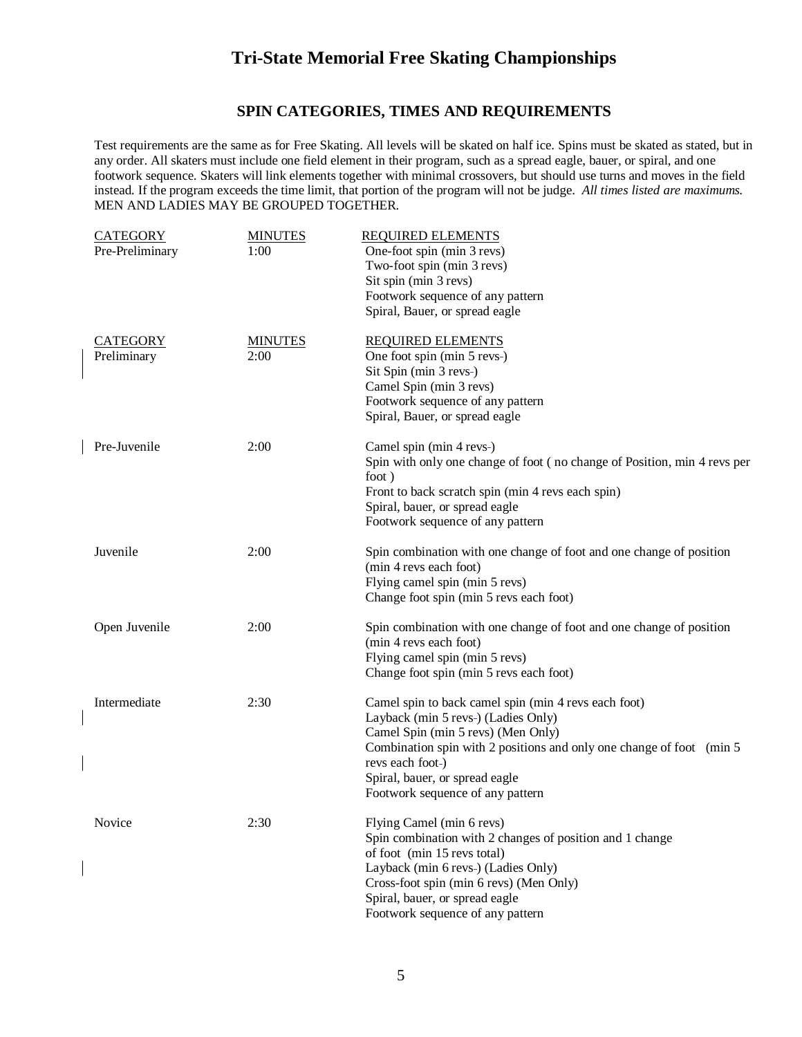#### **SPIN CATEGORIES, TIMES AND REQUIREMENTS**

Test requirements are the same as for Free Skating. All levels will be skated on half ice. Spins must be skated as stated, but in any order. All skaters must include one field element in their program, such as a spread eagle, bauer, or spiral, and one footwork sequence. Skaters will link elements together with minimal crossovers, but should use turns and moves in the field instead. If the program exceeds the time limit, that portion of the program will not be judge. *All times listed are maximums.* MEN AND LADIES MAY BE GROUPED TOGETHER.

| <b>CATEGORY</b><br>Pre-Preliminary | <b>MINUTES</b><br>1:00 | <b>REQUIRED ELEMENTS</b><br>One-foot spin (min 3 revs)<br>Two-foot spin (min 3 revs)<br>Sit spin (min 3 revs)<br>Footwork sequence of any pattern<br>Spiral, Bauer, or spread eagle                                                                                                                  |
|------------------------------------|------------------------|------------------------------------------------------------------------------------------------------------------------------------------------------------------------------------------------------------------------------------------------------------------------------------------------------|
| <b>CATEGORY</b><br>Preliminary     | <b>MINUTES</b><br>2:00 | <b>REQUIRED ELEMENTS</b><br>One foot spin (min 5 revs-)<br>Sit Spin (min 3 revs-)<br>Camel Spin (min 3 revs)<br>Footwork sequence of any pattern<br>Spiral, Bauer, or spread eagle                                                                                                                   |
| Pre-Juvenile                       | 2:00                   | Camel spin (min 4 revs-)<br>Spin with only one change of foot (no change of Position, min 4 revs per<br>foot)<br>Front to back scratch spin (min 4 revs each spin)<br>Spiral, bauer, or spread eagle<br>Footwork sequence of any pattern                                                             |
| Juvenile                           | 2:00                   | Spin combination with one change of foot and one change of position<br>(min 4 revs each foot)<br>Flying camel spin (min 5 revs)<br>Change foot spin (min 5 revs each foot)                                                                                                                           |
| Open Juvenile                      | 2:00                   | Spin combination with one change of foot and one change of position<br>(min 4 revs each foot)<br>Flying camel spin (min 5 revs)<br>Change foot spin (min 5 revs each foot)                                                                                                                           |
| Intermediate                       | 2:30                   | Camel spin to back camel spin (min 4 revs each foot)<br>Layback (min 5 revs-) (Ladies Only)<br>Camel Spin (min 5 revs) (Men Only)<br>Combination spin with 2 positions and only one change of foot (min 5)<br>revs each foot-)<br>Spiral, bauer, or spread eagle<br>Footwork sequence of any pattern |
| Novice                             | 2:30                   | Flying Camel (min 6 revs)<br>Spin combination with 2 changes of position and 1 change<br>of foot (min 15 revs total)<br>Layback (min 6 revs-) (Ladies Only)<br>Cross-foot spin (min 6 revs) (Men Only)<br>Spiral, bauer, or spread eagle<br>Footwork sequence of any pattern                         |

 $\overline{\phantom{a}}$ 

 $\overline{\phantom{a}}$ 

 $\overline{\phantom{a}}$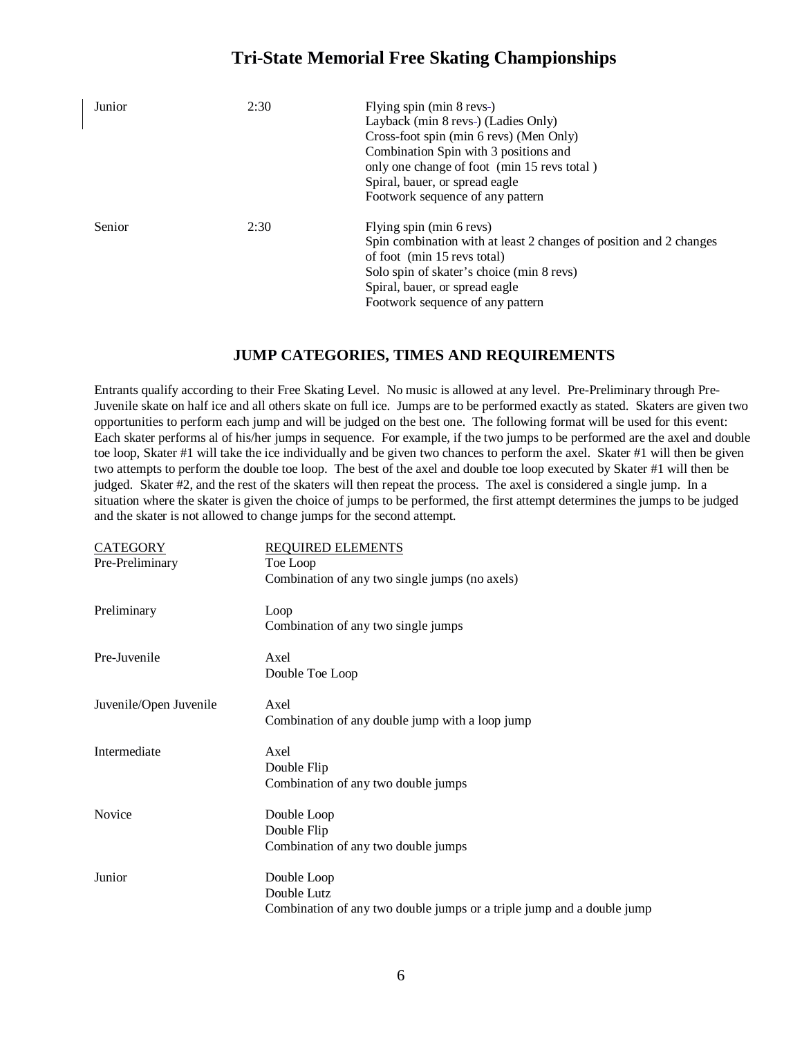| Junior | 2:30 | Flying spin (min 8 revs-)<br>Layback (min 8 revs-) (Ladies Only)<br>Cross-foot spin (min 6 revs) (Men Only)<br>Combination Spin with 3 positions and<br>only one change of foot (min 15 revs total)<br>Spiral, bauer, or spread eagle<br>Footwork sequence of any pattern |
|--------|------|---------------------------------------------------------------------------------------------------------------------------------------------------------------------------------------------------------------------------------------------------------------------------|
| Senior | 2:30 | Flying spin (min 6 revs)<br>Spin combination with at least 2 changes of position and 2 changes<br>of foot (min 15 revs total)<br>Solo spin of skater's choice (min 8 revs)<br>Spiral, bauer, or spread eagle<br>Footwork sequence of any pattern                          |

#### **JUMP CATEGORIES, TIMES AND REQUIREMENTS**

Entrants qualify according to their Free Skating Level. No music is allowed at any level. Pre-Preliminary through Pre-Juvenile skate on half ice and all others skate on full ice. Jumps are to be performed exactly as stated. Skaters are given two opportunities to perform each jump and will be judged on the best one. The following format will be used for this event: Each skater performs al of his/her jumps in sequence. For example, if the two jumps to be performed are the axel and double toe loop, Skater #1 will take the ice individually and be given two chances to perform the axel. Skater #1 will then be given two attempts to perform the double toe loop. The best of the axel and double toe loop executed by Skater #1 will then be judged. Skater #2, and the rest of the skaters will then repeat the process. The axel is considered a single jump. In a situation where the skater is given the choice of jumps to be performed, the first attempt determines the jumps to be judged and the skater is not allowed to change jumps for the second attempt.

| <b>CATEGORY</b>        | <b>REQUIRED ELEMENTS</b>                                               |
|------------------------|------------------------------------------------------------------------|
| Pre-Preliminary        | Toe Loop                                                               |
|                        | Combination of any two single jumps (no axels)                         |
| Preliminary            | Loop                                                                   |
|                        | Combination of any two single jumps                                    |
| Pre-Juvenile           | Axel                                                                   |
|                        | Double Toe Loop                                                        |
| Juvenile/Open Juvenile | Axel                                                                   |
|                        | Combination of any double jump with a loop jump                        |
| Intermediate           | Axel                                                                   |
|                        | Double Flip                                                            |
|                        | Combination of any two double jumps                                    |
| Novice                 | Double Loop                                                            |
|                        | Double Flip                                                            |
|                        | Combination of any two double jumps                                    |
| Junior                 | Double Loop                                                            |
|                        | Double Lutz                                                            |
|                        | Combination of any two double jumps or a triple jump and a double jump |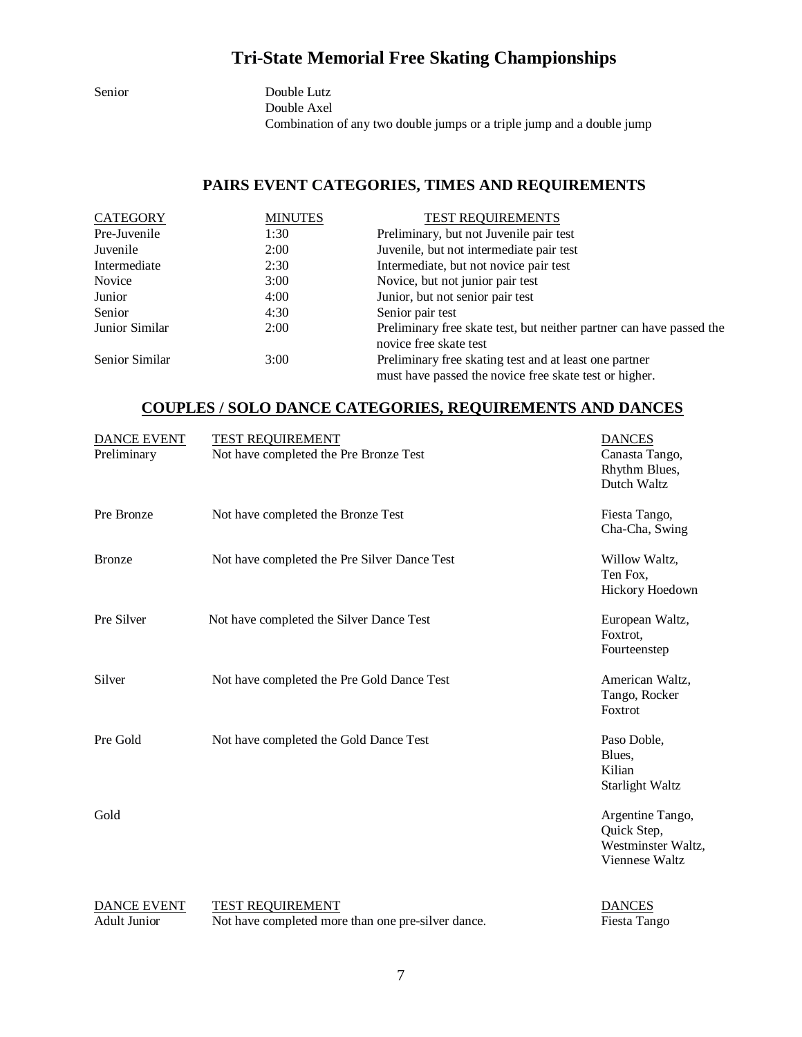Senior Double Lutz Double Axel Combination of any two double jumps or a triple jump and a double jump

#### **PAIRS EVENT CATEGORIES, TIMES AND REQUIREMENTS**

| <b>CATEGORY</b> | <b>MINUTES</b> | <b>TEST REQUIREMENTS</b>                                                                                         |
|-----------------|----------------|------------------------------------------------------------------------------------------------------------------|
| Pre-Juvenile    | 1:30           | Preliminary, but not Juvenile pair test                                                                          |
| Juvenile        | 2:00           | Juvenile, but not intermediate pair test                                                                         |
| Intermediate    | 2:30           | Intermediate, but not novice pair test                                                                           |
| Novice          | 3:00           | Novice, but not junior pair test                                                                                 |
| Junior          | 4:00           | Junior, but not senior pair test                                                                                 |
| Senior          | 4:30           | Senior pair test                                                                                                 |
| Junior Similar  | 2:00           | Preliminary free skate test, but neither partner can have passed the<br>novice free skate test                   |
| Senior Similar  | 3:00           | Preliminary free skating test and at least one partner<br>must have passed the novice free skate test or higher. |

#### **COUPLES / SOLO DANCE CATEGORIES, REQUIREMENTS AND DANCES**

| <b>DANCE EVENT</b><br>Preliminary         | <b>TEST REQUIREMENT</b><br>Not have completed the Pre Bronze Test             | <b>DANCES</b><br>Canasta Tango,<br>Rhythm Blues,<br>Dutch Waltz         |
|-------------------------------------------|-------------------------------------------------------------------------------|-------------------------------------------------------------------------|
| Pre Bronze                                | Not have completed the Bronze Test                                            | Fiesta Tango,<br>Cha-Cha, Swing                                         |
| <b>Bronze</b>                             | Not have completed the Pre Silver Dance Test                                  | Willow Waltz,<br>Ten Fox,<br>Hickory Hoedown                            |
| Pre Silver                                | Not have completed the Silver Dance Test                                      | European Waltz,<br>Foxtrot,<br>Fourteenstep                             |
| Silver                                    | Not have completed the Pre Gold Dance Test                                    | American Waltz,<br>Tango, Rocker<br>Foxtrot                             |
| Pre Gold                                  | Not have completed the Gold Dance Test                                        | Paso Doble,<br>Blues,<br>Kilian<br><b>Starlight Waltz</b>               |
| Gold                                      |                                                                               | Argentine Tango,<br>Quick Step,<br>Westminster Waltz,<br>Viennese Waltz |
| <b>DANCE EVENT</b><br><b>Adult Junior</b> | <b>TEST REQUIREMENT</b><br>Not have completed more than one pre-silver dance. | <b>DANCES</b><br>Fiesta Tango                                           |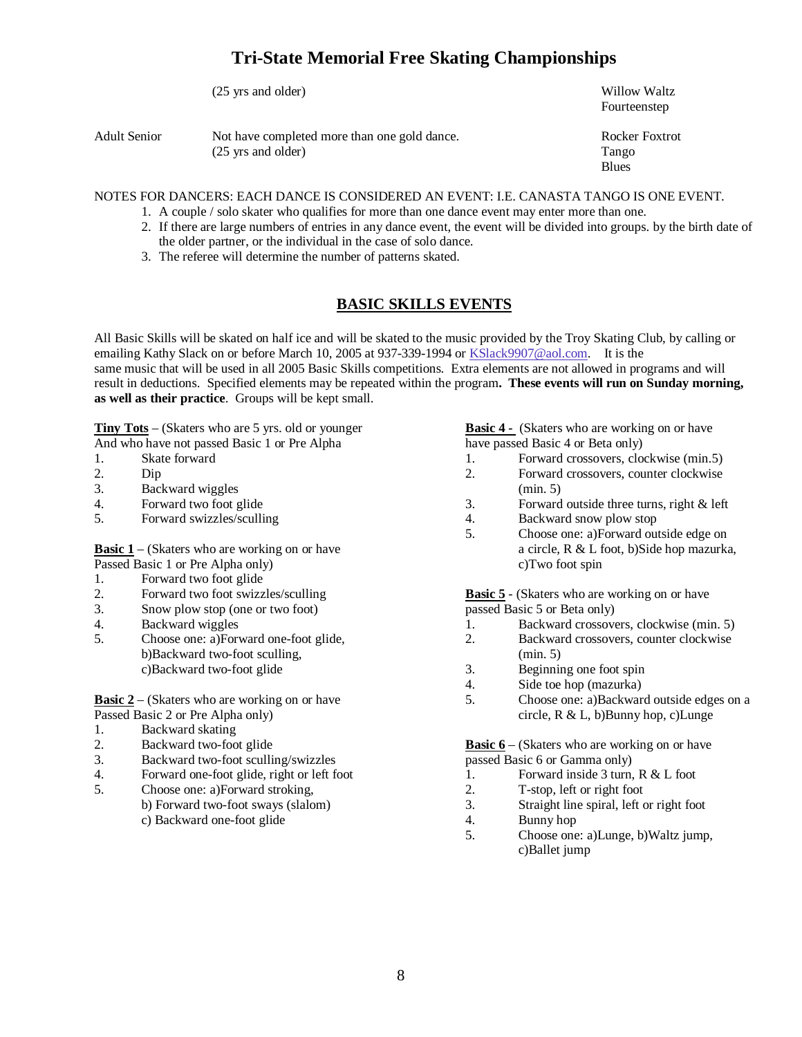|              | (25 yrs and older)                                                           | Willow Waltz<br>Fourteenstep             |
|--------------|------------------------------------------------------------------------------|------------------------------------------|
| Adult Senior | Not have completed more than one gold dance.<br>$(25 \text{ yrs and older})$ | Rocker Foxtrot<br>Tango<br><b>B</b> lues |

NOTES FOR DANCERS: EACH DANCE IS CONSIDERED AN EVENT: I.E. CANASTA TANGO IS ONE EVENT.

- 1. A couple / solo skater who qualifies for more than one dance event may enter more than one.
- 2. If there are large numbers of entries in any dance event, the event will be divided into groups. by the birth date of the older partner, or the individual in the case of solo dance.
- 3. The referee will determine the number of patterns skated.

#### **BASIC SKILLS EVENTS**

All Basic Skills will be skated on half ice and will be skated to the music provided by the Troy Skating Club, by calling or emailing Kathy Slack on or before March 10, 2005 at 937-339-1994 or KSlack9907@aol.com. It is the same music that will be used in all 2005 Basic Skills competitions. Extra elements are not allowed in programs and will result in deductions. Specified elements may be repeated within the program**. These events will run on Sunday morning, as well as their practice**. Groups will be kept small.

**Tiny Tots** – (Skaters who are 5 yrs. old or younger **Basic 4 -** (Skaters who are working on or have

- 
- 
- 
- 3. Backward wiggles (min. 5)<br>4. Forward two foot glide 3. Forward
- 

Passed Basic 1 or Pre Alpha only) c)Two foot spin

- 1. Forward two foot glide
- 
- 3. Snow plow stop (one or two foot) passed Basic 5 or Beta only)
- 
- b)Backward two-foot sculling, (min. 5) c)Backward two-foot glide 3. Beginning one foot spin

**Basic**  $2 - (Skaters who are working on or have  $5$ .$ Passed Basic 2 or Pre Alpha only) circle, R & L, b)Bunny hop, c)Lunge

- 1. Backward skating
- 
- 3. Backward two-foot sculling/swizzles
- 4. Forward one-foot glide, right or left foot 1. Forward inside 3 turn, R & L foot
- 5. Choose one: a)Forward stroking, 2. T-stop, left or right foot b) Forward two-foot sways (slalom) 3. Straight line spiral, left or right foot c) Backward one-foot glide 4. Bunny hop c) Backward one-foot glide

- And who have not passed Basic 1 or Pre Alpha have passed Basic 4 or Beta only)<br>
1. Skate forward 1. Forward crossovers, clo 1. Skate forward 1. Forward crossovers, clockwise (min.5)
- 2. Dip 2. Forward crossovers, counter clockwise
	- Forward outside three turns, right & left
- 5. Forward swizzles/sculling 4. Backward snow plow stop
- 5. Choose one: a)Forward outside edge on **Basic 1** – (Skaters who are working on or have a circle, R & L foot, b)Side hop mazurka,

2. Forward two foot swizzles/sculling **Basic 5** - (Skaters who are working on or have

- 4. Backward wiggles 1. Backward crossovers, clockwise (min. 5)
- 5. Choose one: a)Forward one-foot glide, 2. Backward crossovers, counter clockwise
	-
	-
	- 4. Side toe hop (mazurka)<br>5. Choose one: a)Backward outside edges on a

2. Backward two-foot glide<br>
3. Backward two-foot sculling/swizzles<br> **Basic 6** – (Skaters who are working on or have<br>
passed Basic 6 or Gamma only)

- 
- 
- 
- 
- 5. Choose one: a)Lunge, b)Waltz jump, c)Ballet jump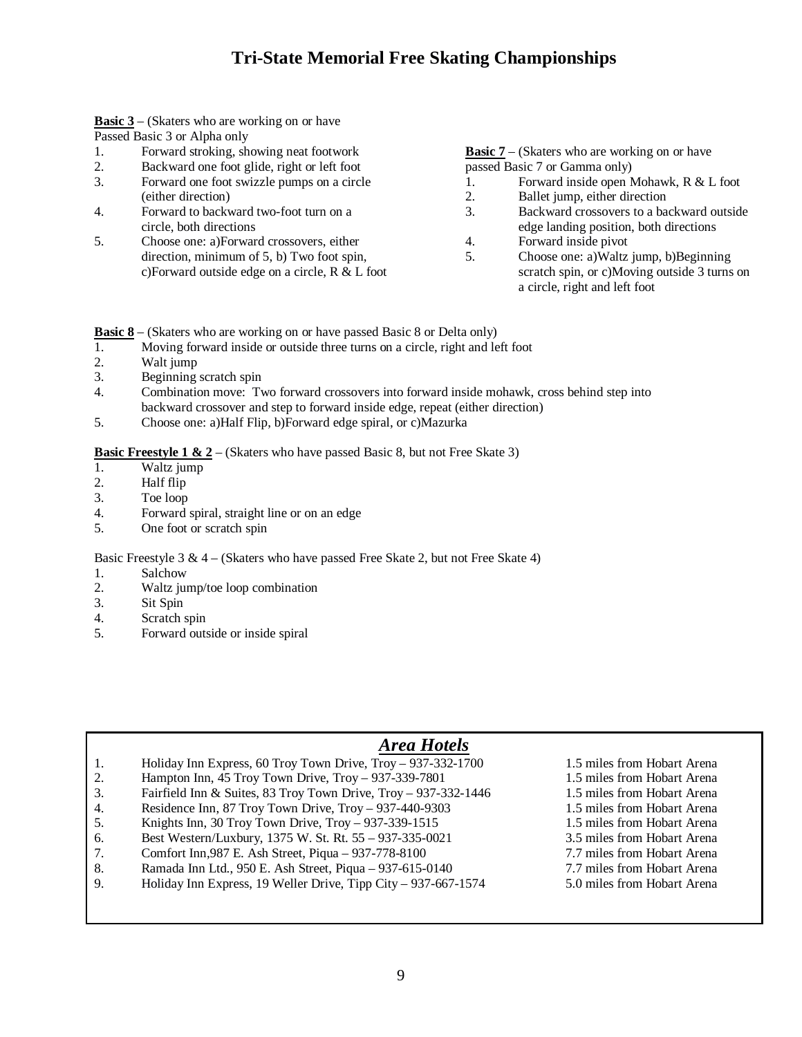**Basic 3** – (Skaters who are working on or have Passed Basic 3 or Alpha only

- 1. Forward stroking, showing neat footwork **Basic 7** (Skaters who are working on or have
- 2. Backward one foot glide, right or left foot passed Basic 7 or Gamma only)<br>
3. Forward one foot swizzle pumps on a circle 1. Forward inside open Mohawk, R & L foot
- Forward one foot swizzle pumps on a circle 1. (either direction) 2. Ballet jump, either direction
- 
- 5. Choose one: a)Forward crossovers, either 4. Forward inside pivot direction, minimum of 5, b) Two foot spin, 5. Choose one: a)Waltz jump, b)Beginning

- 
- 
- 
- 4. Forward to backward two-foot turn on a 3. Backward crossovers to a backward outside circle, both directions edge landing position, both directions
	-
	- c)Forward outside edge on a circle, R & L foot scratch spin, or c)Moving outside 3 turns on a circle, right and left foot

**Basic** 8 – (Skaters who are working on or have passed Basic 8 or Delta only)

- 1. Moving forward inside or outside three turns on a circle, right and left foot 2.
- Walt jump
- 3. Beginning scratch spin
- 4. Combination move: Two forward crossovers into forward inside mohawk, cross behind step into backward crossover and step to forward inside edge, repeat (either direction)
- 5. Choose one: a)Half Flip, b)Forward edge spiral, or c)Mazurka

**Basic Freestyle 1 & 2** – (Skaters who have passed Basic 8, but not Free Skate 3)

- 1. Waltz jump
- 2. Half flip<br>3. Toe loop
- Toe loop
- 4. Forward spiral, straight line or on an edge
- 5. One foot or scratch spin

Basic Freestyle 3  $\& 4 - (Skaters who have passed Free State 2, but not Free State 4)$ 

- 1. Salchow
- 2. Waltz jump/toe loop combination
- 3. Sit Spin
- 4. Scratch spin
- 5. Forward outside or inside spiral

#### *Area Hotels*

- 1. Holiday Inn Express, 60 Troy Town Drive, Troy 937-332-1700 1.5 miles from Hobart Arena
- 2. Hampton Inn, 45 Troy Town Drive, Troy 937-339-7801 1.5 miles from Hobart Arena
- 3. Fairfield Inn & Suites, 83 Troy Town Drive, Troy 937-332-1446 1.5 miles from Hobart Arena
- 4. Residence Inn, 87 Troy Town Drive, Troy 937-440-9303 1.5 miles from Hobart Arena
- 5. Knights Inn, 30 Troy Town Drive, Troy 937-339-1515 1.5 miles from Hobart Arena
- 6. Best Western/Luxbury, 1375 W. St. Rt. 55 937-335-0021 3.5 miles from Hobart Arena
- 7. Comfort Inn,987 E. Ash Street, Piqua 937-778-8100 7.7 miles from Hobart Arena
- 8. Ramada Inn Ltd., 950 E. Ash Street, Piqua 937-615-0140 7.7 miles from Hobart Arena
- 9. Holiday Inn Express, 19 Weller Drive, Tipp City 937-667-1574 5.0 miles from Hobart Arena
- 
- 
- 
- 
- 
- 
- 
-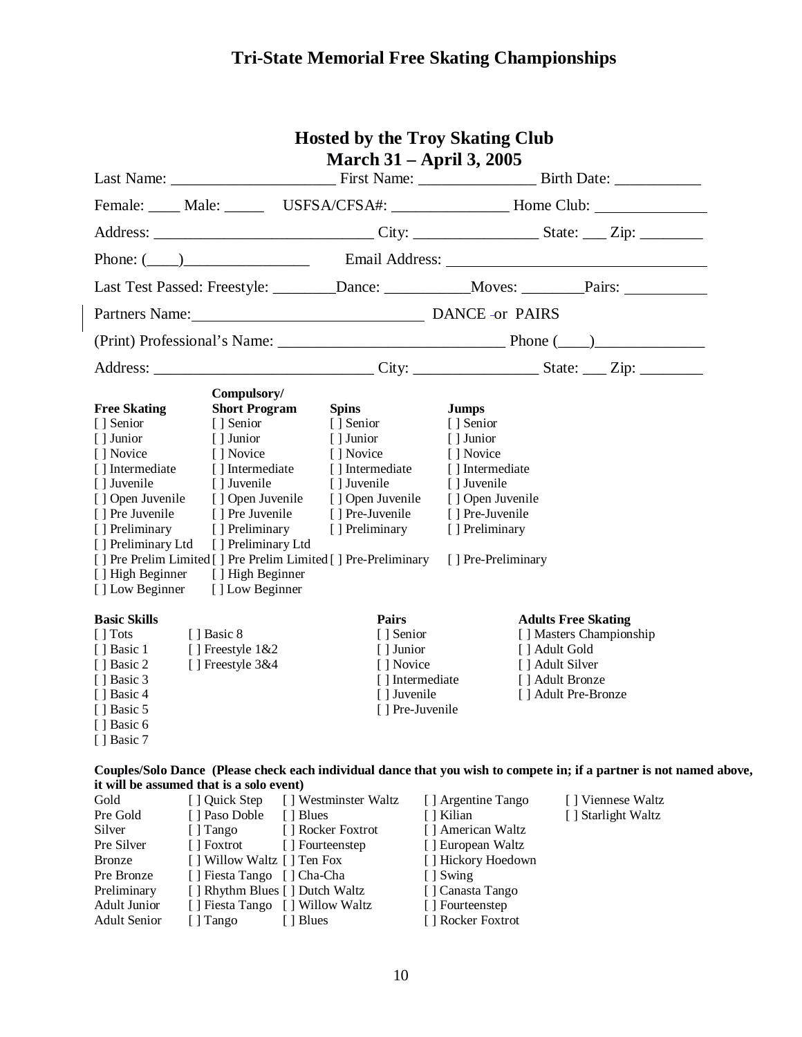|                                                                                                                                                                                                                        |                                                                                                                                                                                                                                        | <b>Hosted by the Troy Skating Club</b>                                                                                                                                                                                | <b>March 31 – April 3, 2005</b>                                                                                                                                         |                                                                                                                                                                                                                                                                |  |
|------------------------------------------------------------------------------------------------------------------------------------------------------------------------------------------------------------------------|----------------------------------------------------------------------------------------------------------------------------------------------------------------------------------------------------------------------------------------|-----------------------------------------------------------------------------------------------------------------------------------------------------------------------------------------------------------------------|-------------------------------------------------------------------------------------------------------------------------------------------------------------------------|----------------------------------------------------------------------------------------------------------------------------------------------------------------------------------------------------------------------------------------------------------------|--|
|                                                                                                                                                                                                                        |                                                                                                                                                                                                                                        |                                                                                                                                                                                                                       |                                                                                                                                                                         |                                                                                                                                                                                                                                                                |  |
|                                                                                                                                                                                                                        |                                                                                                                                                                                                                                        |                                                                                                                                                                                                                       |                                                                                                                                                                         | Female: _____ Male: ______ USFSA/CFSA#: _________________ Home Club: ____________                                                                                                                                                                              |  |
|                                                                                                                                                                                                                        |                                                                                                                                                                                                                                        |                                                                                                                                                                                                                       |                                                                                                                                                                         |                                                                                                                                                                                                                                                                |  |
|                                                                                                                                                                                                                        |                                                                                                                                                                                                                                        |                                                                                                                                                                                                                       |                                                                                                                                                                         |                                                                                                                                                                                                                                                                |  |
|                                                                                                                                                                                                                        |                                                                                                                                                                                                                                        |                                                                                                                                                                                                                       |                                                                                                                                                                         | Last Test Passed: Freestyle: _______Dance: __________Moves: _______Pairs: __________________________                                                                                                                                                           |  |
|                                                                                                                                                                                                                        |                                                                                                                                                                                                                                        | Partners Name: DANCE -or PAIRS                                                                                                                                                                                        |                                                                                                                                                                         |                                                                                                                                                                                                                                                                |  |
|                                                                                                                                                                                                                        |                                                                                                                                                                                                                                        |                                                                                                                                                                                                                       |                                                                                                                                                                         |                                                                                                                                                                                                                                                                |  |
|                                                                                                                                                                                                                        |                                                                                                                                                                                                                                        |                                                                                                                                                                                                                       |                                                                                                                                                                         |                                                                                                                                                                                                                                                                |  |
| <b>Free Skating</b><br>[ ] Senior<br>[ ] Junior<br>[ ] Novice<br>[] Intermediate<br>[] Juvenile<br>[] Open Juvenile<br>[] Pre Juvenile<br>[] Preliminary<br>[] Preliminary Ltd<br>[] High Beginner<br>[ ] Low Beginner | Compulsory/<br><b>Short Program</b><br>[] Senior<br>[ ] Junior<br>[ ] Novice<br>[] Intermediate<br>[ ] Juvenile<br>[] Open Juvenile<br>[] Pre Juvenile<br>[] Preliminary<br>[] Preliminary Ltd<br>[ ] High Beginner<br>[] Low Beginner | <b>Spins</b><br>[ ] Senior<br>[ ] Junior<br>[ ] Novice<br>[] Intermediate<br>[ ] Juvenile<br>[] Open Juvenile<br>[] Pre-Juvenile<br>[ ] Preliminary<br>[] Pre Prelim Limited [] Pre Prelim Limited [] Pre-Preliminary | <b>Jumps</b><br>[ ] Senior<br>[] Junior<br>[ ] Novice<br>[] Intermediate<br>[] Juvenile<br>[ ] Open Juvenile<br>[] Pre-Juvenile<br>[] Preliminary<br>[] Pre-Preliminary |                                                                                                                                                                                                                                                                |  |
| <b>Basic Skills</b><br>$\lceil$ Tots<br>[] Basic 1<br>[ ] Basic 2<br>[ ] Basic 3<br>[ ] Basic 4<br>[] Basic 5<br>[] Basic 6<br>[] Basic 7                                                                              | [ Basic 8]<br>[] Freestyle $1&2$<br>[] Freestyle $3&4\times1$                                                                                                                                                                          | Pairs<br>[ ] Senior<br>[ ] Junior<br>[ ] Novice<br>[] Juvenile<br>[ ] Pre-Juvenile                                                                                                                                    | [] Intermediate                                                                                                                                                         | <b>Adults Free Skating</b><br>[] Masters Championship<br>[ ] Adult Gold<br>[ ] Adult Silver<br>[ ] Adult Bronze<br>[] Adult Pre-Bronze<br>Couples/Solo Dance (Please check each individual dance that you wish to compete in; if a partner is not named above, |  |
|                                                                                                                                                                                                                        | it will be assumed that is a solo event)                                                                                                                                                                                               |                                                                                                                                                                                                                       |                                                                                                                                                                         |                                                                                                                                                                                                                                                                |  |
| Gold<br>Pre Gold<br>Silver<br>Pre Silver<br><b>Bronze</b>                                                                                                                                                              | [ ] Quick Step<br>[] Paso Doble<br>[] Tango<br>[ ] Foxtrot<br>[] Willow Waltz [] Ten Fox                                                                                                                                               | [] Westminster Waltz<br>[ ] Blues<br>[] Rocker Foxtrot<br>[ ] Fourteenstep                                                                                                                                            | [] Argentine Tango<br>[ ] Kilian<br>[] American Waltz<br>[] European Waltz<br>[] Hickory Hoedown                                                                        | [] Viennese Waltz<br>[] Starlight Waltz                                                                                                                                                                                                                        |  |

Adult Junior [ ] Fiesta Tango [ ] Willow Waltz

Pre Bronze [ ] Fiesta Tango [ ] Cha-Cha [ ] Swing

Preliminary [ ] Rhythm Blues [ ] Dutch Waltz [ ] Canasta Tango<br>Adult Junior [ ] Fiesta Tango [ ] Willow Waltz [ ] Fourteenstep

Adult Senior [ ] Tango [ ] Blues [ ] Rocker Foxtrot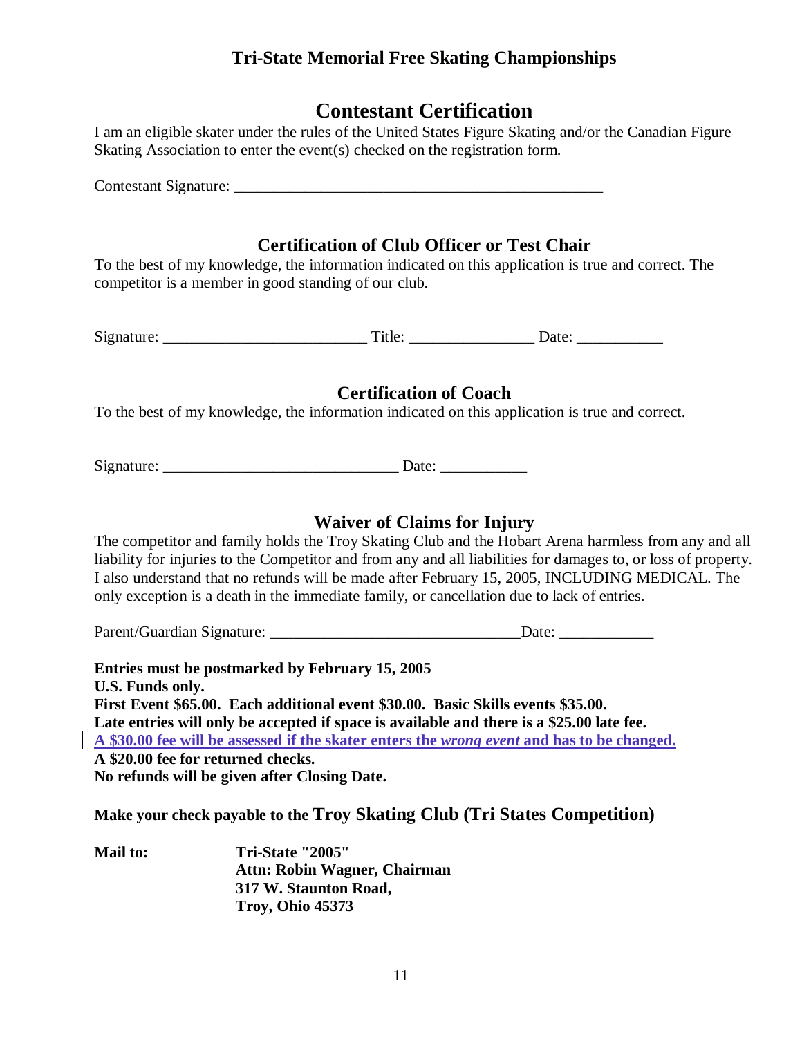## **Contestant Certification**

| I am an eligible skater under the rules of the United States Figure Skating and/or the Canadian Figure |  |  |
|--------------------------------------------------------------------------------------------------------|--|--|
| Skating Association to enter the event(s) checked on the registration form.                            |  |  |

Contestant Signature:

## **Certification of Club Officer or Test Chair**

To the best of my knowledge, the information indicated on this application is true and correct. The competitor is a member in good standing of our club.

Signature: \_\_\_\_\_\_\_\_\_\_\_\_\_\_\_\_\_\_\_\_\_\_\_\_\_\_ Title: \_\_\_\_\_\_\_\_\_\_\_\_\_\_\_\_ Date: \_\_\_\_\_\_\_\_\_\_\_

#### **Certification of Coach**

To the best of my knowledge, the information indicated on this application is true and correct.

Signature: \_\_\_\_\_\_\_\_\_\_\_\_\_\_\_\_\_\_\_\_\_\_\_\_\_\_\_\_\_\_ Date: \_\_\_\_\_\_\_\_\_\_\_

#### **Waiver of Claims for Injury**

The competitor and family holds the Troy Skating Club and the Hobart Arena harmless from any and all liability for injuries to the Competitor and from any and all liabilities for damages to, or loss of property. I also understand that no refunds will be made after February 15, 2005, INCLUDING MEDICAL. The only exception is a death in the immediate family, or cancellation due to lack of entries.

Parent/Guardian Signature: \_\_\_\_\_\_\_\_\_\_\_\_\_\_\_\_\_\_\_\_\_\_\_\_\_\_\_\_\_\_\_\_Date: \_\_\_\_\_\_\_\_\_\_\_\_

**Entries must be postmarked by February 15, 2005 U.S. Funds only. First Event \$65.00. Each additional event \$30.00. Basic Skills events \$35.00. Late entries will only be accepted if space is available and there is a \$25.00 late fee. A \$30.00 fee will be assessed if the skater enters the** *wrong event* **and has to be changed. A \$20.00 fee for returned checks. No refunds will be given after Closing Date.**

**Make your check payable to the Troy Skating Club (Tri States Competition)**

| <b>Mail to:</b> | <b>Tri-State "2005"</b>      |
|-----------------|------------------------------|
|                 | Attn: Robin Wagner, Chairman |
|                 | 317 W. Staunton Road,        |
|                 | <b>Troy, Ohio 45373</b>      |